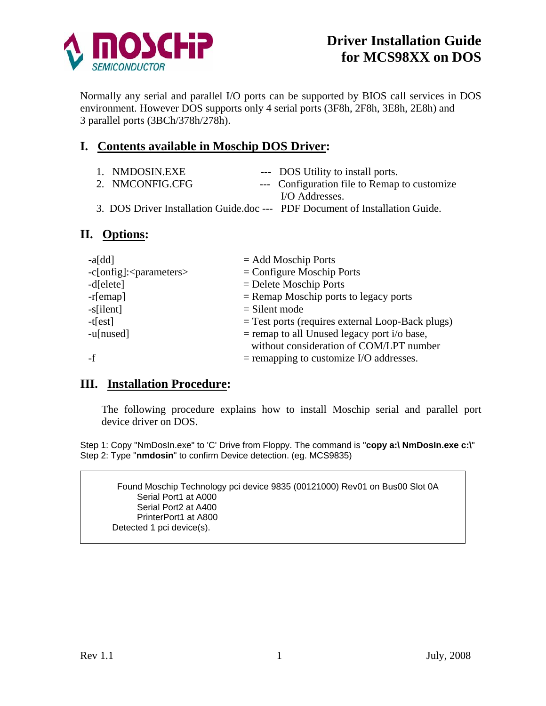

Normally any serial and parallel I/O ports can be supported by BIOS call services in DOS environment. However DOS supports only 4 serial ports (3F8h, 2F8h, 3E8h, 2E8h) and 3 parallel ports (3BCh/378h/278h).

## **I. Contents available in Moschip DOS Driver:**

| 1. NMDOSIN.EXE  | --- DOS Utility to install ports.                                            |
|-----------------|------------------------------------------------------------------------------|
| 2. NMCONFIG.CFG | --- Configuration file to Remap to customize                                 |
|                 | I/O Addresses.                                                               |
|                 | 3. DOS Driver Installation Guide.doc --- PDF Document of Installation Guide. |

### **II. Options:**

| $-a[dd]$                | $=$ Add Moschip Ports                              |
|-------------------------|----------------------------------------------------|
| $-c[onfig]:parameters>$ | $=$ Configure Moschip Ports                        |
| $-d[elete]$             | $=$ Delete Moschip Ports                           |
| $-r[emap]$              | $=$ Remap Moschip ports to legacy ports            |
| $-s$ [ilent]            | $=$ Silent mode                                    |
| $-t[est]$               | $=$ Test ports (requires external Loop-Back plugs) |
| $-u[nused]$             | $=$ remap to all Unused legacy port i/o base,      |
|                         | without consideration of COM/LPT number            |
|                         | $=$ remapping to customize I/O addresses.          |

#### **III. Installation Procedure:**

The following procedure explains how to install Moschip serial and parallel port device driver on DOS.

Step 1: Copy "NmDosIn.exe" to 'C' Drive from Floppy. The command is "**copy a:\ NmDosIn.exe c:\**" Step 2: Type "**nmdosin**" to confirm Device detection. (eg. MCS9835)

Found Moschip Technology pci device 9835 (00121000) Rev01 on Bus00 Slot 0A Serial Port1 at A000 Serial Port2 at A400 PrinterPort1 at A800 Detected 1 pci device(s).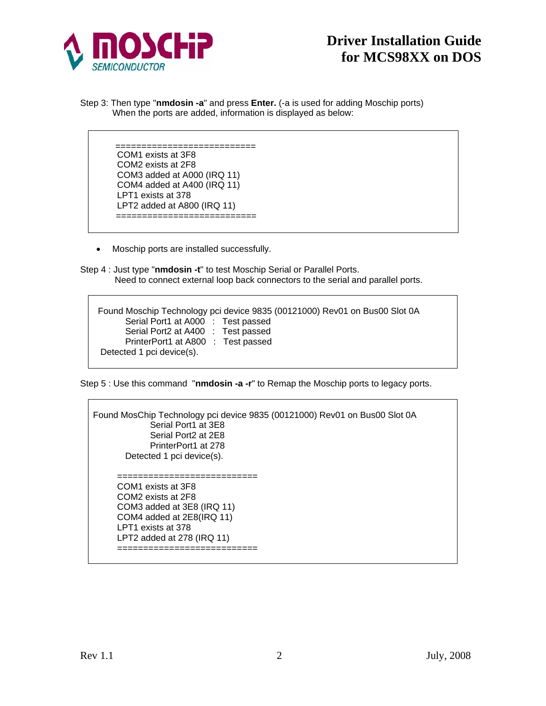

Step 3: Then type "**nmdosin -a**" and press **Enter.** (-a is used for adding Moschip ports) When the ports are added, information is displayed as below:

> =========================== COM1 exists at 3F<sup>8</sup> COM2 exists at 2F8 COM3 added at A000 (IRQ 11) COM4 added at A400 (IRQ 11) LPT1 exists at 378 LPT2 added at A800 (IRQ 11) ==========================

• Moschip ports are installed successfully.

Step 4 : Just type "**nmdosin -t**" to test Moschip Serial or Parallel Ports. Need to connect external loop back connectors to the serial and parallel ports.



Step 5 : Use this command "**nmdosin -a -r**" to Remap the Moschip ports to legacy ports.

Found MosChip Technology pci device 9835 (00121000) Rev01 on Bus00 Slot 0A Serial Port1 at 3E8 Serial Port2 at 2E8 PrinterPort1 at 278 Detected 1 pci device(s). =========================== COM1 exists at 3F8 COM2 exists at 2F8 COM3 added at 3E8 (IRQ 11) COM4 added at 2E8(IRQ 11) LPT1 exists at 378 LPT2 added at 278 (IRQ 11) ===========================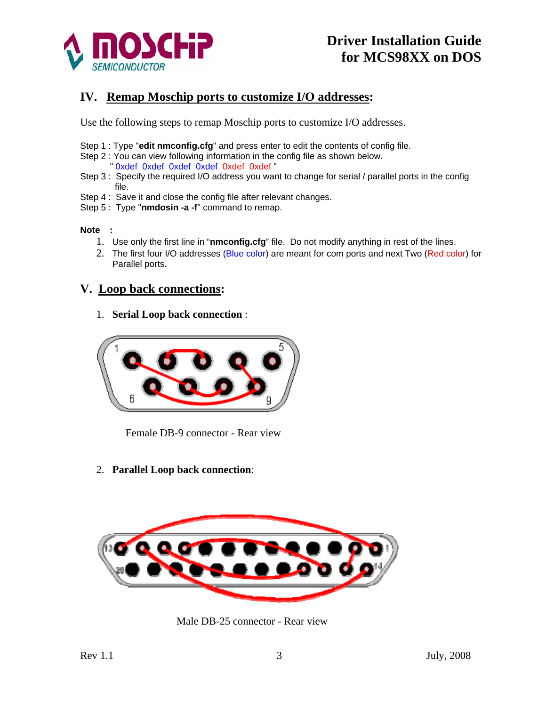

### **IV. Remap Moschip ports to customize I/O addresses:**

Use the following steps to remap Moschip ports to customize I/O addresses.

- Step 1 : Type "**edit nmconfig.cfg**" and press enter to edit the contents of config file.
- Step 2 : You can view following information in the config file as shown below.
	- " 0xdef 0xdef 0xdef 0xdef 0xdef 0xdef "
- Step 3 : Specify the required I/O address you want to change for serial / parallel ports in the config file.
- Step 4 : Save it and close the config file after relevant changes.
- Step 5 : Type "**nmdosin -a -f**" command to remap.

#### **Note :**

- 1. Use only the first line in "**nmconfig.cfg**" file. Do not modify anything in rest of the lines.
- 2. The first four I/O addresses (Blue color) are meant for com ports and next Two (Red color) for Parallel ports.

#### **V. Loop back connections:**

1. **Serial Loop back connection** :



Female DB-9 connector - Rear view

2. **Parallel Loop back connection**:



Male DB-25 connector - Rear view